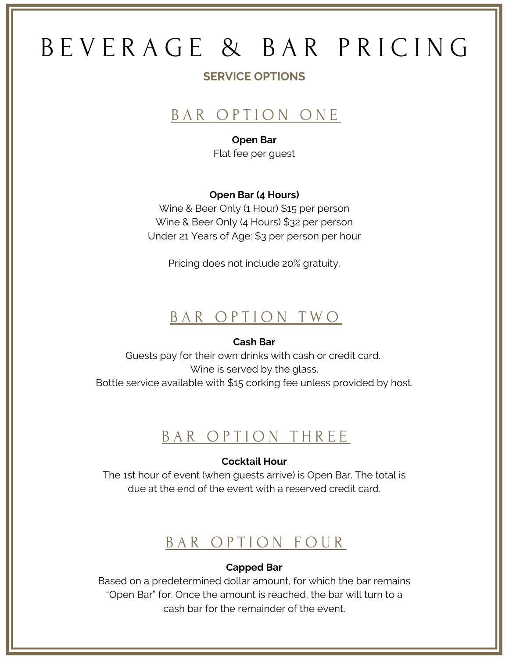# B E V E R A G E & B A R P R I C I N G

### **SERVICE OPTIONS**

## BAR OPTION ONE

### **Open Bar**

Flat fee per guest

### **Open Bar (4 Hours)**

Wine & Beer Only (1 Hour) \$15 per person Wine & Beer Only (4 Hours) \$32 per person Under 21 Years of Age: \$3 per person per hour

Pricing does not include 20% gratuity.

### BAR OPTION TWO

### **Cash Bar**

Guests pay for their own drinks with cash or credit card. Wine is served by the glass. Bottle service available with \$15 corking fee unless provided by host.

### BAR OPTION THREE

### **Cocktail Hour**

The 1st hour of event (when guests arrive) is Open Bar. The total is due at the end of the event with a reserved credit card.

### BAR OPTION FOUR

### **Capped Bar**

Based on a predetermined dollar amount, for which the bar remains "Open Bar" for. Once the amount is reached, the bar will turn to a cash bar for the remainder of the event.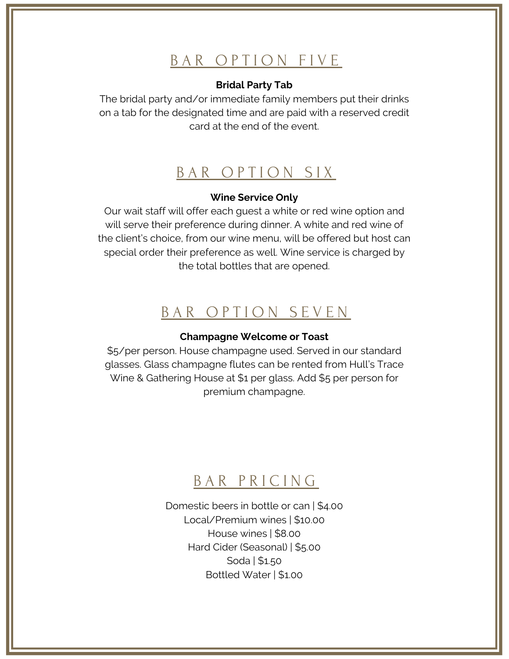# BAR OPTION FIVE

### **Bridal Party Tab**

The bridal party and/or immediate family members put their drinks on a tab for the designated time and are paid with a reserved credit card at the end of the event.

### BAR OPTION SIX

#### **Wine Service Only**

Our wait staff will offer each guest a white or red wine option and will serve their preference during dinner. A white and red wine of the client's choice, from our wine menu, will be offered but host can special order their preference as well. Wine service is charged by the total bottles that are opened.

### BAR OPTION SEVEN

#### **Champagne Welcome or Toast**

\$5/per person. House champagne used. Served in our standard glasses. Glass champagne flutes can be rented from Hull's Trace Wine & Gathering House at \$1 per glass. Add \$5 per person for premium champagne.

### BAR PRICING

Domestic beers in bottle or can | \$4.00 Local/Premium wines | \$10.00 House wines | \$8.00 Hard Cider (Seasonal) | \$5.00 Soda | \$1.50 Bottled Water | \$1.00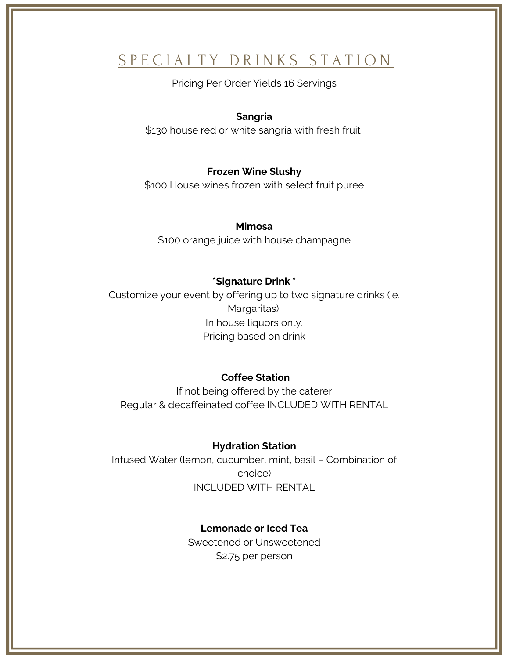# S P E C I A L T Y D R I N K S S T A T I O N

Pricing Per Order Yields 16 Servings

### **Sangria**

\$130 house red or white sangria with fresh fruit

### **Frozen Wine Slushy**

\$100 House wines frozen with select fruit puree

#### **Mimosa**

\$100 orange juice with house champagne

#### **\*Signature Drink \***

Customize your event by offering up to two signature drinks (ie. Margaritas). In house liquors only. Pricing based on drink

#### **Coffee Station**

If not being offered by the caterer Regular & decaffeinated coffee INCLUDED WITH RENTAL

#### **Hydration Station**

Infused Water (lemon, cucumber, mint, basil – Combination of choice) INCLUDED WITH RENTAL

### **Lemonade or Iced Tea**

Sweetened or Unsweetened \$2.75 per person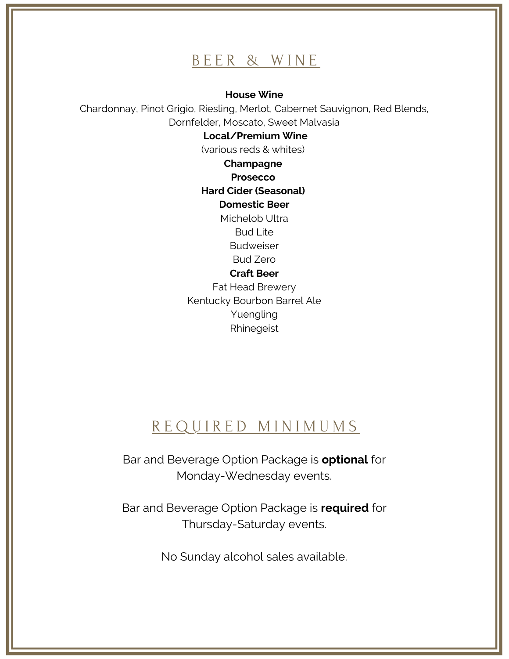### BEER & WINE

**House Wine**

Chardonnay, Pinot Grigio, Riesling, Merlot, Cabernet Sauvignon, Red Blends, Dornfelder, Moscato, Sweet Malvasia

#### **Local/Premium Wine**

(various reds & whites)

**Champagne Prosecco**

**Hard Cider (Seasonal)**

### **Domestic Beer**

Michelob Ultra Bud Lite Budweiser Bud Zero

#### **Craft Beer**

Fat Head Brewery Kentucky Bourbon Barrel Ale Yuengling Rhinegeist

# R E Q U I R E D M I N I M U M S

Bar and Beverage Option Package is **optional** for Monday-Wednesday events.

Bar and Beverage Option Package is **required** for Thursday-Saturday events.

No Sunday alcohol sales available.